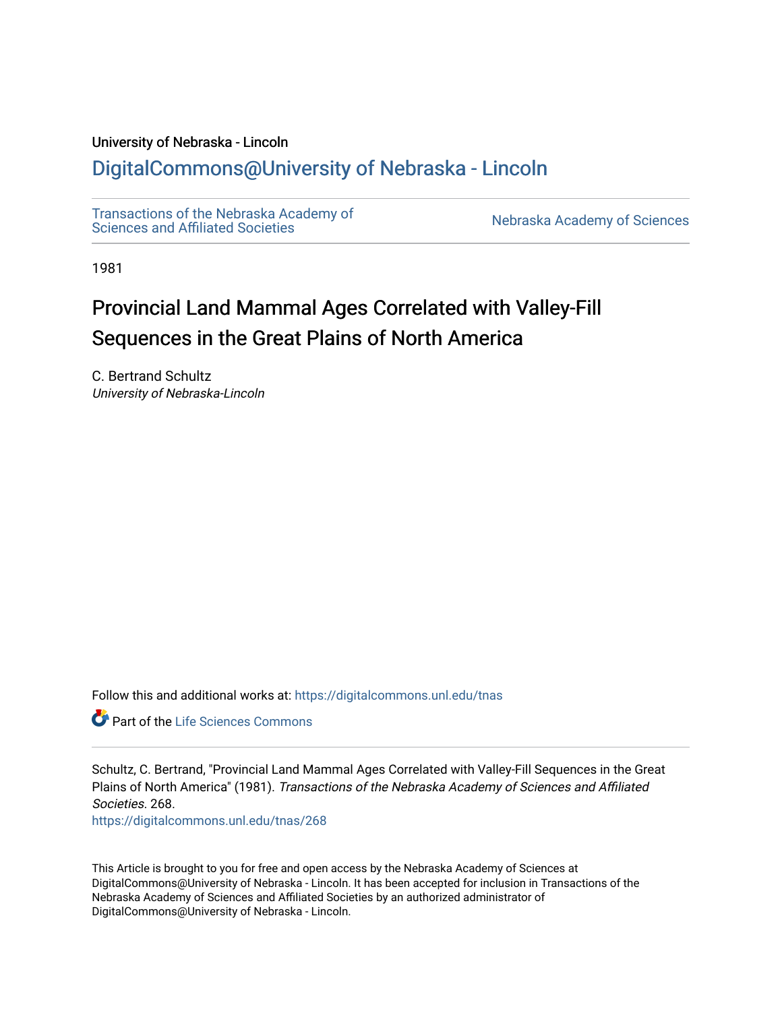#### University of Nebraska - Lincoln

### [DigitalCommons@University of Nebraska - Lincoln](https://digitalcommons.unl.edu/)

[Transactions of the Nebraska Academy of](https://digitalcommons.unl.edu/tnas)  Transactions of the Nebraska Academy of Sciences<br>Sciences and Affiliated Societies

1981

# Provincial Land Mammal Ages Correlated with Valley-Fill Sequences in the Great Plains of North America

C. Bertrand Schultz University of Nebraska-Lincoln

Follow this and additional works at: [https://digitalcommons.unl.edu/tnas](https://digitalcommons.unl.edu/tnas?utm_source=digitalcommons.unl.edu%2Ftnas%2F268&utm_medium=PDF&utm_campaign=PDFCoverPages) 

**C** Part of the Life Sciences Commons

Schultz, C. Bertrand, "Provincial Land Mammal Ages Correlated with Valley-Fill Sequences in the Great Plains of North America" (1981). Transactions of the Nebraska Academy of Sciences and Affiliated Societies. 268.

[https://digitalcommons.unl.edu/tnas/268](https://digitalcommons.unl.edu/tnas/268?utm_source=digitalcommons.unl.edu%2Ftnas%2F268&utm_medium=PDF&utm_campaign=PDFCoverPages) 

This Article is brought to you for free and open access by the Nebraska Academy of Sciences at DigitalCommons@University of Nebraska - Lincoln. It has been accepted for inclusion in Transactions of the Nebraska Academy of Sciences and Affiliated Societies by an authorized administrator of DigitalCommons@University of Nebraska - Lincoln.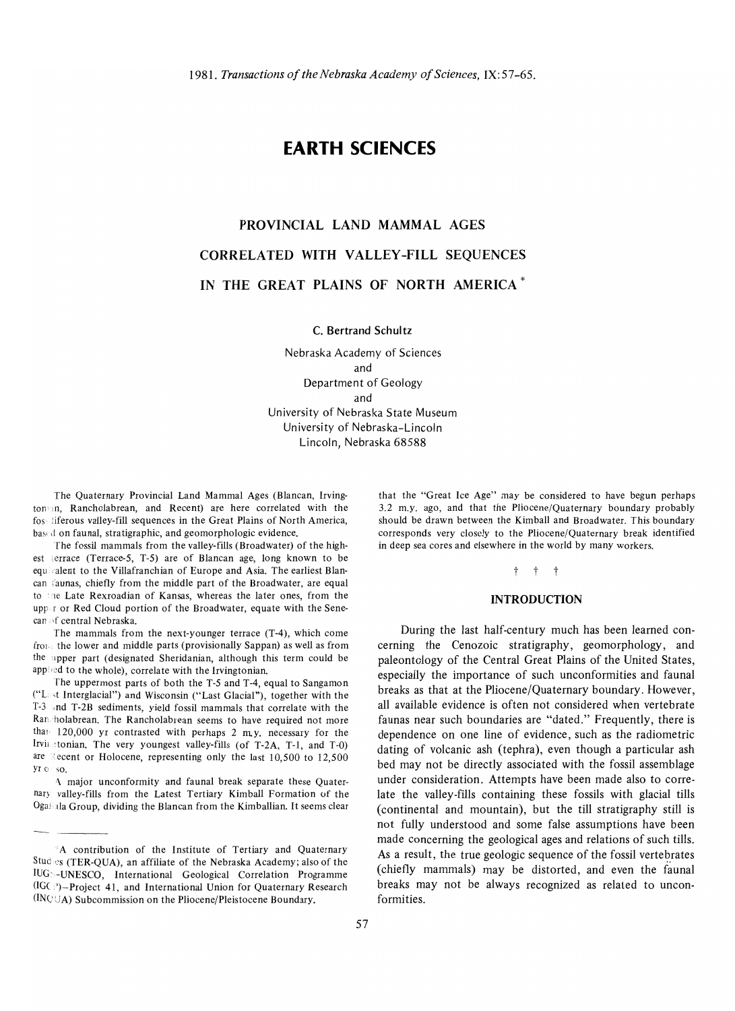### **EARTH SCIENCES**

## **PROVINCIAL LAND MAMMAL AGES CORRELATED WITH VALLEY-FILL SEQUENCES IN THE GREAT PLAINS OF NORTH AMERICA \***

C. **Bertrand Schultz** 

Nebraska Academy of Sciences and Department of Geology and University of Nebraska State Museum University of Nebraska-Lincoln Lincoln, Nebraska 68588

The Quaternary Provincial Land Mammal Ages (Blancan, Irvington'cm, Rancholabrean, and Recent) are here correlated with the fos'liferous valley-fill sequences in the Great Plains of North America, based on faunal, stratigraphic, and geomorphologic evidence.

The fossil mammals from the valley-fills (Broadwater) of the highest terrace (Terrace-5, T-5) are of Blancan age, long known to be equivalent to the Villafranchian of Europe and Asia. The earliest Blancan faunas, chiefly from the middle part of the Broadwater, are equal to the Late Rexroadian of Kansas, whereas the later ones, from the uppor or Red Cloud portion of the Broadwater, equate with the Senecan of central Nebraska.

The mammals from the next-younger terrace (T-4), which come from the lower and middle parts (provisionally Sappan) as well as from the upper part (designated Sheridanian, although this term could be applied to the whole), correlate with the Irvingtonian.

The uppermost parts of both the T-5 and T-4, equal to Sangamon ("Lc"t Interglacial") and Wisconsin ("Last Glacial"), together with the T-3 "nd T-2B sediments, yield fossil mammals that correlate with the Ran'holabrean. The Rancholabrean seems to have required not more than 120,000 yr contrasted with perhaps 2 my. necessary for the Irvingtonian. The very youngest valley-fills (of T-2A, T-1, and T-0) are  $\text{Recent}$  or Holocene, representing only the last 10,500 to 12,500 yr  $0 - so$ .

A major unconformity and faunal break separate these Quaternary valley-fills from the Latest Tertiary Kimball Formation of the Ogaliala Group, dividing the Blancan from the Kimballian. It seems clear that the "Great Ice Age" may be considered to have begun perhaps 3.2 m.y. ago, and that the Pliocene/Quaternary boundary probably should be drawn between the Kimball and Broadwater. This boundary corresponds very closely to the Pliocene/Quaternary break identified in deep sea cores and elsewhere in the world by many workers.

#### t t t

#### **INTRODUCTION**

During the last half-century much has been learned concerning the Cenozoic stratigraphy, geomorphology, and paleontology of the Central Great Plains of the United States, especially the importance of such unconformities and faunal breaks as that at the Pliocene/Quaternary boundary. However, all available evidence is often not considered when vertebrate faunas near such boundaries are "dated." Frequently, there is dependence on one line of evidence, such as the radiometric dating of volcanic ash (tephra), even though a particular ash bed may not be directly associated with the fossil assemblage under consideration. Attempts have been made also to correlate the valley-fills containing these fossils with glacial tills (continental and mountain), but the till stratigraphy still is not fully understood and some false assumptions have been made concerning the geological ages and relations of such tills. As a result, the true geologic sequence of the fossil vertebrates (chiefly mammals) may be distorted, and even the faunal breaks may not be always recognized as related to unconformities.

<sup>&#</sup>x27;A contribution of the Institute of Tertiary and Quaternary Studes (TER-QUA), an affiliate of the Nebraska Academy; also of the IUG>,-UNESCO, International Geological Correlation Programme  $(IGC)$ )-Project 41, and International Union for Quaternary Research  $(INC \cup A)$  Subcommission on the Pliocene/Pleistocene Boundary.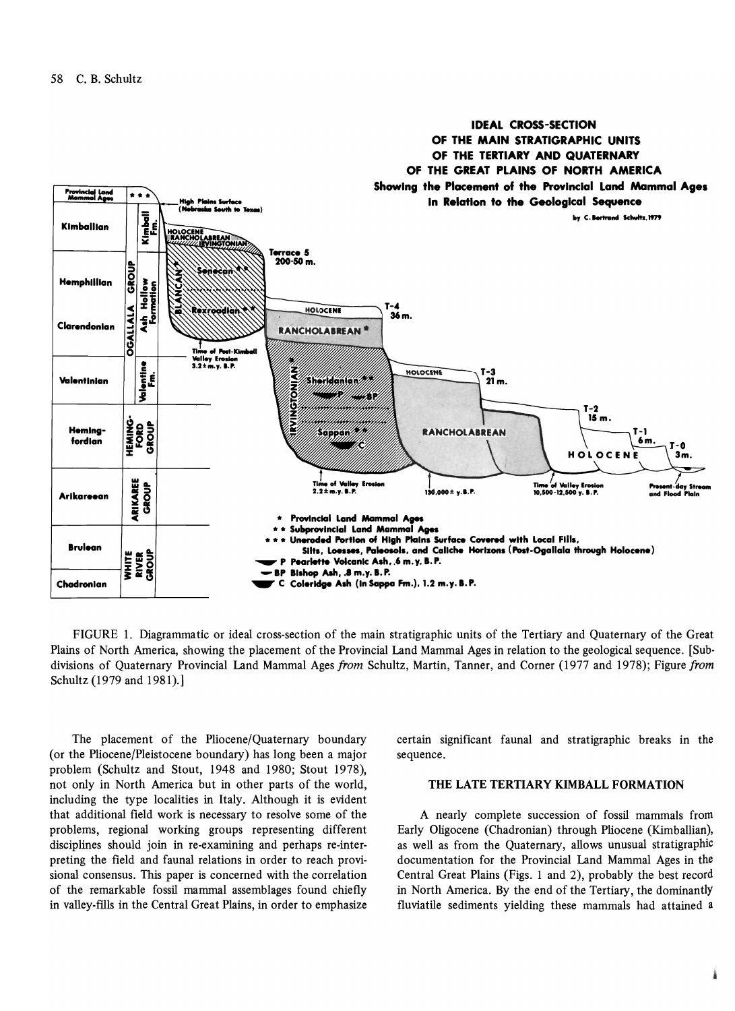

FIGURE 1. Diagrammatic or ideal cross-section of the main stratigraphic units of the Tertiary and Quaternary of the Great Plains of North America, showing the placement of the Provincial Land Mammal Ages in relation to the geological sequence. [Sub· divisions of Quaternary Provincial Land Mammal Ages *from* Schultz, Martin, Tanner, and Corner (1977 and 1978); Figure *from*  Schultz (1979 and 1981).]

The placement of the Pliocene/Quaternary boundary (or the Pliocene/Pleistocene boundary) has long been a major problem (Schultz and Stout, 1948 and 1980; Stout 1978), not only in North America but in other parts of the world, including the type localities in Italy. Although it is evident that additional field work is necessary to resolve some of the problems, regional working groups representing different disciplines should join in re-examining and perhaps re-interpreting the field and faunal relations in order to reach provisional consensus. This paper is concerned with the correlation of the remarkable fossil mammal assemblages found chiefly in valley-fills in the Central Great Plains, in order to emphasize certain significant faunal and stratigraphic breaks in the sequence.

#### THE LATE TERTIARY KIMBALL FORMATION

A nearly complete succession of fossil mammals from Early Oligocene (Chadronian) through Pliocene (Kimballian), as well as from the Quaternary, allows unusual stratigraphiC documentation for the Provincial Land Mammal Ages in the Central Great Plains (Figs. 1 and 2), probably the best record in North America. By the end of the Tertiary, the dominantly fluviatile sediments yielding these mammals had attained a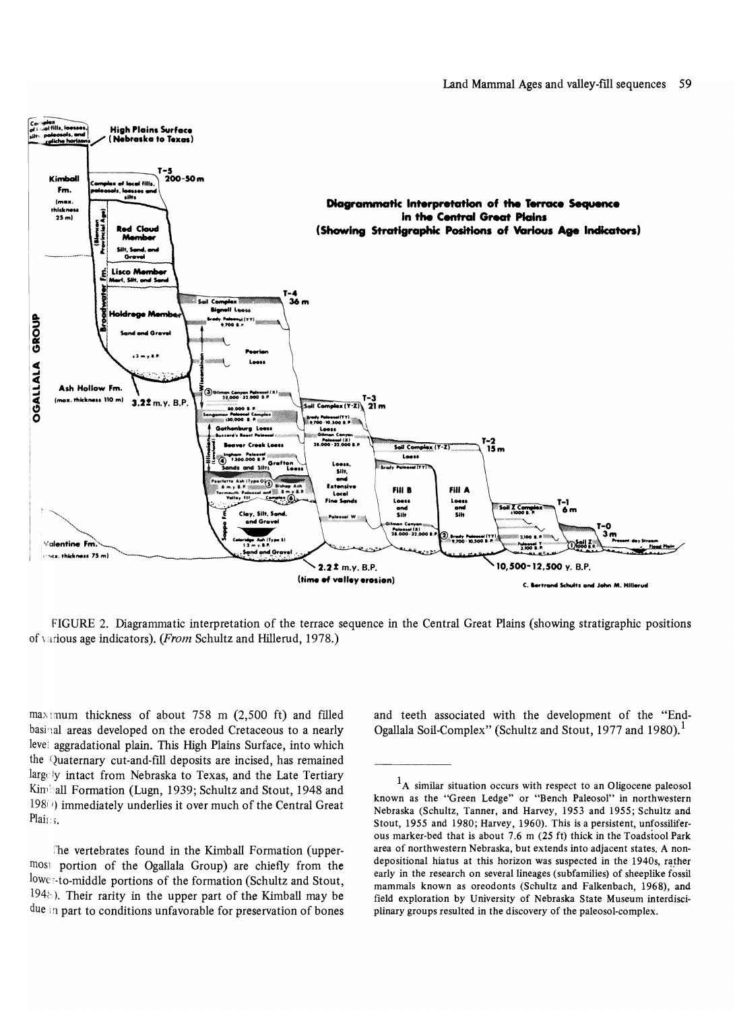

FIGURE 2. Diagrammatic interpretation of the terrace sequence in the Central Great Plains (showing stratigraphic positions of various age indicators). *(From Schultz and Hillerud*, 1978.)

 $max_{1}$  max mum thickness of about 758 m (2,500 ft) and filled basinal areas developed on the eroded Cretaceous to a nearly leve; aggradational plain. This High Plains Surface, into which the Quaternary cut-and-fill deposits are incised, has remained largely intact from Nebraska to Texas, and the Late Tertiary Kimball Formation (Lugn, 1939; Schultz and Stout, 1948 and 198(1) immediately underlies it over much of the Central Great Plains.

The vertebrates found in the Kimball Formation (uppermos' portion of the Ogallala Group) are chiefly from the lower-to-middle portions of the formation (Schultz and Stout,  $1948$ ). Their rarity in the upper part of the Kimball may be due in part to conditions unfavorable for preservation of bones

and teeth associated with the development of the "End-Ogallala Soil-Complex" (Schultz and Stout, 1977 and 1980).<sup>1</sup>

 $<sup>1</sup>A$  similar situation occurs with respect to an Oligocene paleosol</sup> known as the "Green Ledge" or "Bench Paleosol" in northwestern Nebraska (Schultz, Tanner, and Harvey, 1953 and 1955; Schultz and Stout, 1955 and 1980; Harvey, 1960). This is a persistent, unfossiliferous marker-bed that is about 7.6 m (25 ft) thick in the Toadstool Park area of northwestern Nebraska, but extends into adjacent states. A nondepositional hiatus at this horizon was suspected in the 1940s, rather early in the research on several lineages (subfamilies) of sheeplike fossil mammals known as oreodonts (Schultz and Falkenbach, 1968), and field exploration by University of Nebraska State Museum interdisciplinary groups resulted in the discovery of the paleosol-complex.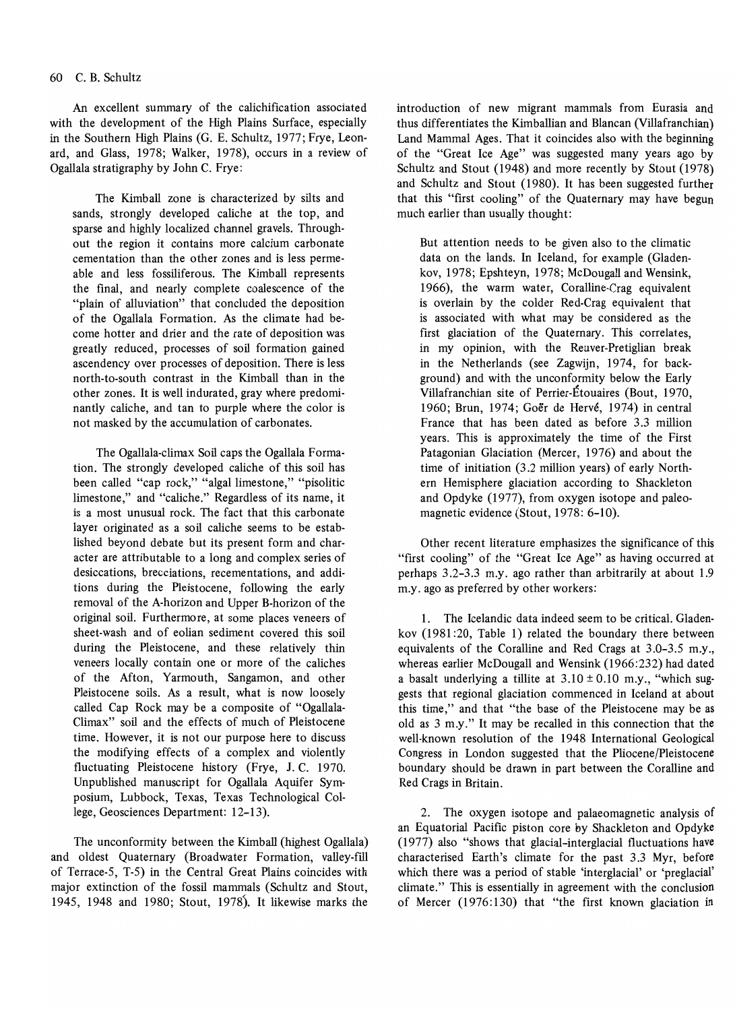#### 60 C. B. Schultz

An excellent summary of the calichification associated with the development of the High Plains Surface, especially in the Southern High Plains (G. E. Schultz. 1977; Frye, Leonard, and Glass, 1978; Walker, 1978), occurs in a review of Ogallala stratigraphy by John C. Frye:

The Kimball zone is characterized by silts and sands, strongly developed caliche at the top, and sparse and highly localized channel gravels. Throughout the region it contains more calcium carbonate cementation than the other zones and is less permeable and less fossiliferous. The Kimball represents the final, and nearly complete coalescence of the "plain of alluviation" that concluded the deposition of the Ogallala Formation. As the climate had become hotter and drier and the rate of deposition was greatly reduced, processes of soil formation gained ascendency over processes of deposition. There is less north-to-south contrast in the Kimball than in the other zones. It is well indurated, gray where predominantly caliche, and tan to purple where the color is not masked by the accumulation of carbonates.

The Ogallala-climax Soil caps the Ogallala Formation. The strongly developed caliche of this soil has been called "cap rock," "algal limestone," "pisolitic limestone," and "caliche." Regardless of its name, it is a most unusual rock. The fact that this carbonate layer originated as a soil caliche seems to be established beyond debate but its present form and character are attributable to a long and complex series of desiccations, brecciations, recementations, and additions during the Pleistocene, following the early removal of the A-horizon and Upper B-horizon of the original soil. Furthermore, at some places veneers of sheet-wash and of eolian sediment covered this soil during the Pleistocene, and these relatively thin veneers locally contain one or more of the caliches of the Afton, Yarmouth, Sangamon, and other Pleistocene soils. As a result, what is now loosely called Cap Rock may be a composite of "Ogallala-Climax" soil and the effects of much of Pleistocene time. However, it is not our purpose here to discuss the modifying effects of a complex and violently fluctuating Pleistocene history (Frye, J. C. 1970. Unpublished manuscript for Ogallala Aquifer Symposium, Lubbock, Texas, Texas Technological College, Geosciences Department: 12-13).

The unconformity between the Kimball (highest Ogallala) and oldest Quaternary (Broadwater Formation, valley-fill of Terrace-5, T-5) in the Central Great Plains coincides with major extinction of the fossil mammals (Schultz and Stout, 1945, 1948 and 1980; Stout, 1978). It likewise marks the introduction of new migrant mammals from Eurasia and thus differentiates the Kimballian and Blancan (Villafranchian) Land Mammal Ages. That it coincides also with the beginning of the "Great Ice Age" was suggested many years ago by Schultz and Stout (1948) and more recently by Stout (1978) and Schultz and Stout (1980). It has been suggested further that this "first cooling" of the Quaternary may have begun much earlier than usually thought:

But attention needs to be given also to the climatic data on the lands. In Iceland, for example (Gladenkov, 1978; Epshteyn, 1978; McDougall and Wensink, 1966), the warm water, Coralline-Crag equivalent is overlain by the colder Red-Crag equivalent that is associated with what may be considered as the first glaciation of the Quaternary. This correlates, in my opinion, with the Reuver-Pretiglian break in the Netherlands (see Zagwijn, 1974, for background) and with the unconformity below the Early Villafranchian site of Perrier-Etouaires (Bout, 1970, 1960; Brun, 1974; Goër de Hervé, 1974) in central France that has been dated as before 3.3 million years. This is approximately the time of the First Patagonian Glaciation (Mercer, 1976) and about the time of initiation (3.2 million years) of early Northern Hemisphere glaciation according to Shackleton and Opdyke (1977), from oxygen isotope and paleomagnetic evidence (Stout, 1978: 6-10).

Other recent literature emphasizes the significance of this "first cooling" of the "Great Ice Age" as having occurred at perhaps 3.2-3.3 m.y. ago rather than arbitrarily at about 1.9 m.y. ago as preferred by other workers:

1. The Icelandic data indeed seem to be critical. Gladenkov (1981:20, Table 1) related the boundary there between equivalents of the Coralline and Red Crags at 3.0-3.5 m.y., whereas earlier McDougall and Wensink (1966:232) had dated a basalt underlying a tillite at  $3.10 \pm 0.10$  m.y., "which suggests that regional glaciation commenced in Iceland at about this time," and that "the base of the Pleistocene may be as old as 3 m.y." It may be recalled in this connection that the well-known resolution of the 1948 International Geological Congress in London suggested that the Pliocene/pleistocene boundary should be drawn in part between the Coralline and Red Crags in Britain.

2. The oxygen isotope and palaeomagnetic analysis of an Equatorial Pacific piston core by Shackleton and Opdyke (1977) also "shows that glacial-interglacial fluctuations have characterised Earth's climate for the past 3.3 Myr, before which there was a period of stable 'interglacial' or 'preglacial' climate." This is essentially in agreement with the conclusion of Mercer (1976:130) that "the first known glaciation in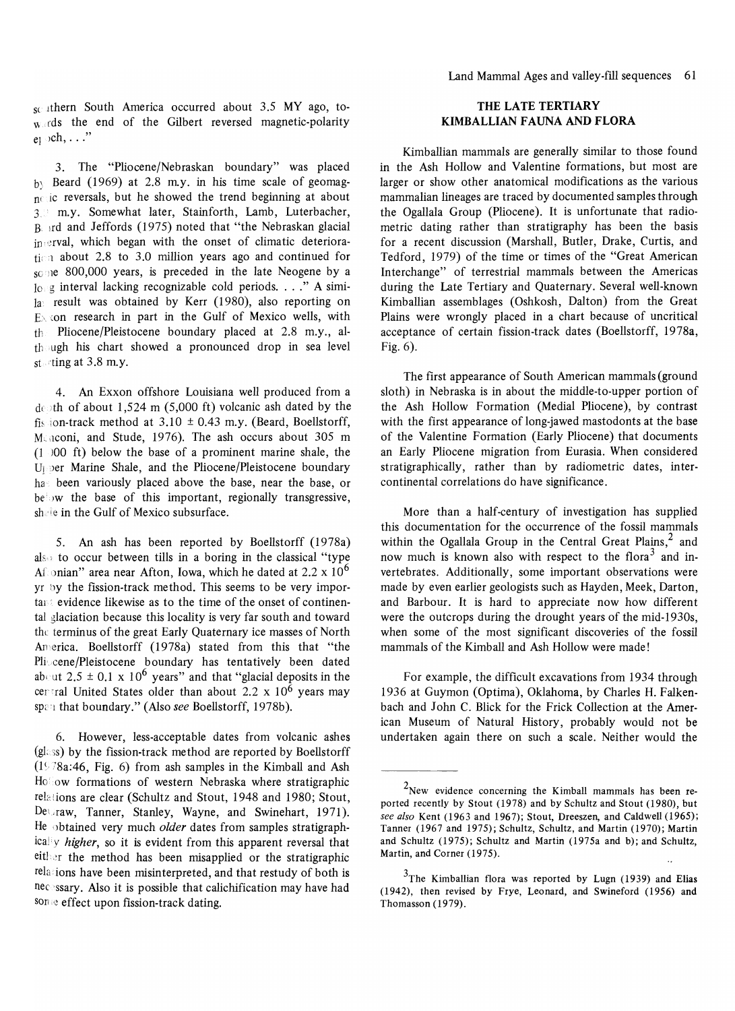scuthern South America occurred about 3.5 MY ago, to- $\n w \cdot \text{c}$  the end of the Gilbert reversed magnetic-polarity  $e_1 \rightarrow ch, \ldots$ "

3. The "Pliocene/Nebraskan boundary" was placed  $b$ : Beard (1969) at 2.8 m.y. in his time scale of geomag $n$  ic reversals, but he showed the trend beginning at about 3. m.y. Somewhat later, Stainforth, Lamb, Luterbacher, Bird and Jeffords (1975) noted that "the Nebraskan glacial  $ip$ :  $erval$ , which began with the onset of climatic deterioration about 2.8 to 3.0 million years ago and continued for some 800,000 years, is preceded in the late Neogene by a  $10 \text{ g}$  interval lacking recognizable cold periods. . . ." A simi- $\vert a \vert$  result was obtained by Kerr (1980), also reporting on  $E_{\lambda}$  con research in part in the Gulf of Mexico wells, with  $t_{\text{th}}$  Pliocene/Pleistocene boundary placed at 2.8 m.y., al $t$ hough his chart showed a pronounced drop in sea level stating at  $3.8$  m.y.

4. An Exxon offshore Louisiana well produced from a do th of about 1,524 m (5,000 ft) volcanic ash dated by the fis ion-track method at  $3.10 \pm 0.43$  m.y. (Beard, Boellstorff, Mcaconi, and Stude, 1976). The ash occurs about 305 m  $(1)$  00 ft) below the base of a prominent marine shale, the U<sub>I</sub> per Marine Shale, and the Pliocene/Pleistocene boundary has been variously placed above the base, near the base, or  $be$  w the base of this important, regionally transgressive, shele in the Gulf of Mexico subsurface.

5. An ash has been reported by Boellstorff (1978a) also to occur between tills in a boring in the classical "type Af onian" area near Afton, Iowa, which he dated at  $2.2 \times 10^6$  $y_1$  by the fission-track method. This seems to be very important evidence likewise as to the time of the onset of continental glaciation because this locality is very far south and toward the terminus of the great Early Quaternary ice masses of North Anerica. Boellstorff (1978a) stated from this that "the Pliocene/Pleistocene boundary has tentatively been dated about 2.5  $\pm$  0.1 x 10<sup>6</sup> years" and that "glacial deposits in the central United States older than about 2.2 x  $10^6$  years may span that boundary." (Also see Boellstorff, 1978b).

6. However, less-acceptable dates from volcanic ashes  $(g_{\text{loss}})$  by the fission-track method are reported by Boellstorff  $(1578a:46, Fig. 6)$  from ash samples in the Kimball and Ash  $H_0$ low formations of western Nebraska where stratigraphic relations are clear (Schultz and Stout, 1948 and 1980; Stout, Dettaw, Tanner, Stanley, Wayne, and Swinehart, 1971). He obtained very much *older* dates from samples stratigraphically *higher*, so it is evident from this apparent reversal that either the method has been misapplied or the stratigraphic relations have been misinterpreted, and that restudy of both is necessary. Also it is possible that calichification may have had some effect upon fission-track dating.

#### **THE** LATE **TERTIARY KIMBALLIAN FAUNA AND FLORA**

Kimballian mammals are generally similar to those found in the Ash Hollow and Valentine formations, but most are larger or show other anatomical modifications as the various mammalian lineages are traced by documented samples through the Ogallala Group (Pliocene). It is unfortunate that radiometric dating rather than stratigraphy has been the basis for a recent discussion (Marshall, Butler, Drake, Curtis, and Tedford, 1979) of the time or times of the "Great American Interchange" of terrestrial mammals between the Americas during the Late Tertiary and Quaternary. Several well-known Kimballian assemblages (Oshkosh, Dalton) from the Great Plains were wrongly placed in a chart because of uncritical acceptance of certain fission-track dates (Boellstorff, 1978a, Fig. 6).

The first appearance of South American mammals (ground sloth) in Nebraska is in about the middle-to-upper portion of the Ash Hollow Formation (Medial Pliocene), by contrast with the first appearance of long-jawed mastodonts at the base of the Valentine Formation (Early Pliocene) that documents an Early Pliocene migration from Eurasia. When considered stratigraphically, rather than by radiometric dates, intercontinental correlations do have significance.

More than a half-century of investigation has supplied this documentation for the occurrence of the fossil mammals within the Ogallala Group in the Central Great Plains,<sup>2</sup> and now much is known also with respect to the flora<sup>3</sup> and invertebrates. Additionally, some important observations were made by even earlier geologists such as Hayden, Meek, Darton, and Barbour. It is hard to appreciate now how different were the outcrops during the drought years of the mid-1930s, when some of the most significant discoveries of the fossil mammals of the Kimball and Ash Hollow were made!

For example, the difficult excavations from 1934 through 1936 at Guymon (Optima), Oklahoma, by Charles H. Falkenbach and John C. Blick for the Frick Collection at the American Museum of Natural History, probably would not be undertaken again there on such a scale. Neither would the

 $2$ New evidence concerning the Kimball mammals has been reported recently by Stout (1978) and by Schultz and Stout (1980), but *see also* Kent (1963 and 1967); Stout, Dreeszen, and Caldwell (1965); Tanner (1967 and 1975); Schultz, Schultz, and Martin (1970); Martin and Schultz (1975); Schultz and Martin (1975a and b); and Schultz, Martin, and Corner (1975).

 $3$ The Kimballian flora was reported by Lugn (1939) and Elias (1942), then revised by Frye, Leonard, and Swineford (1956) and Thomasson (1979).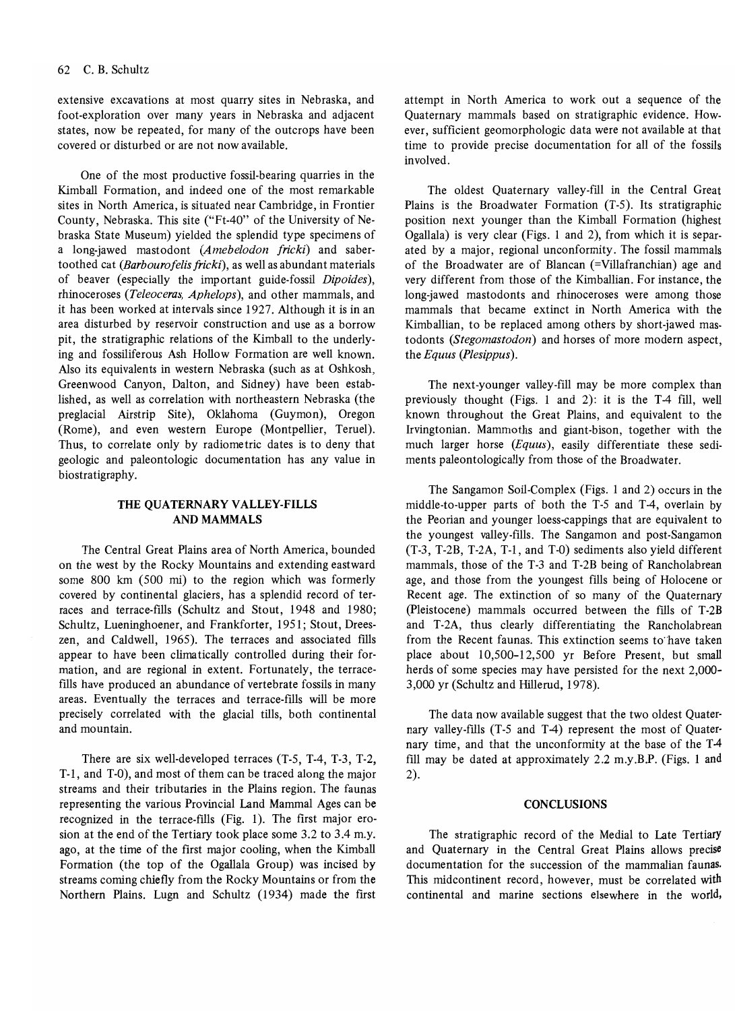#### 62 C. B. Schultz

extensive excavations at most quarry sites in Nebraska, and foot-exploration over many years in Nebraska and adjacent states, now be repeated, for many of the outcrops have been covered or disturbed or are not now available.

One of the most productive fossil-bearing quarries in the Kimball Formation, and indeed one of the most remarkable sites in North America, is situated near Cambridge, in Frontier County, Nebraska. This site ("Ft-40" of the University of Nebraska State Museum) yielded the splendid type specimens of a long-jawed mastodont *(Amebelodon fricki)* and sabertoothed cat *(Barbourofelis jricki),* as well as abundant materials of beaver (especially the important guide-fossil *Dipoides),*  rhinoceroses *(Teleoceras, Aphelops),* and other mammals, and it has been worked at intervals since 1927. Although it is in an area disturbed by reservoir construction and use as a borrow pit, the stratigraphic relations of the Kimball to the underlying and fossiliferous Ash Hollow Formation are well known. Also its equivalents in western Nebraska (such as at Oshkosh, Greenwood Canyon, Dalton, and Sidney) have been established, as well as correlation with northeastern Nebraska (the preglacial Airstrip Site), Oklahoma (Guymon), Oregon (Rome), and even western Europe (Montpellier, Teruel). Thus, to correlate only by radiometric dates is to deny that geologic and paleontologic documentation has any value in biostratigraphy.

#### THE QUATERNARY VALLEY-FILLS AND MAMMALS

The Central Great Plains area of North America, bounded on the west by the Rocky Mountains and extending eastward some 800 km (500 mi) to the region which was formerly covered by continental glaciers, has a splendid record of terraces and terrace-fills (Schultz and Stout, 1948 and 1980; Schultz, Lueninghoener, and Frankforter, 1951; Stout, Dreeszen, and Caldwell, 1965). The terraces and associated fills appear to have been climatically controlled during their formation, and are regional in extent. Fortunately, the terracefills have produced an abundance of vertebrate fossils in many areas. Eventually the terraces and terrace-fills will be more precisely correlated with the glacial tills, both continental and mountain.

There are six well-developed terraces (T-5, T-4, T-3, T-2, T-l, and T-O), and most of them can be traced along the major streams and their tributaries in the Plains region. The faunas representing the various Provincial Land Mammal Ages can be recognized in the terrace-fills (Fig. 1). The first major erosion at the end of the Tertiary took place some 3.2 to 3.4 m.y. ago, at the time of the first major cooling, when the Kimball Formation (the top of the Ogallala Group) was incised by streams coming chiefly from the Rocky Mountains or from the Northern Plains. Lugn and Schultz (1934) made the first attempt in North America to work out a sequence of the Quaternary mammals based on stratigraphic evidence. However, sufficient geomorphologic data were not available at that time to provide precise documentation for all of the fossils involved.

The oldest Quaternary valley-fill in the Central Great Plains is the Broadwater Formation (T-5). Its stratigraphic position next younger than the Kimball Formation (highest Ogallala) is very clear (Figs. I and 2), from which it is separated by a major, regional unconformity. The fossil mammals of the Broadwater are of Blancan (=Villafranchian) age and very different from those of the Kimballian. For instance, the long-jawed mastodonts and rhinoceroses were among those mammals that became extinct in North America with the Kimballian, to be replaced among others by short-jawed mastodonts *(Stegomastodon)* and horses of more modern aspect, the *Equus (Plesippus).* 

The next-younger valley-fill may be more complex than previously thought (Figs. 1 and 2): it is the T-4 fill, well known throughout the Great Plains, and equivalent to the Irvingtonian. Mammoths and giant-bison, together with the much larger horse *(Equus)*, easily differentiate these sediments paleontologically from those of the Broadwater.

The Sangamon Soil-Complex (Figs. 1 and 2) occurs in the middle-to-upper parts of both the T-5 and T-4, overlain by the Peorian and younger loess-cappings that are equivalent to the youngest valley-fills. The Sangamon and post-Sangamon (T-3, T-2B, T-2A, T-l, and T-O) sediments also yield different mammals, those of the T-3 and T-2B being of Rancholabrean age, and those from the youngest fills being of Holocene or Recent age. The extinction of so many of the Quaternary (Pleistocene) mammals occurred between the fills of T-2B and T-2A, thus clearly differentiating the Rancholabrean from the Recent faunas. This extinction seems to"have taken place about 10,500-12,500 yr Before Present, but small herds of some species may have persisted for the next 2,000- 3,000 yr (Schultz and Hillerud, 1978).

The data now available suggest that the two oldest Quaternary valley-fills (T-5 and T-4) represent the most of Quaternary time, and that the unconformity at the base of the T4 fill may be dated at approximately 2.2 m.y.B.P. (Figs. 1 and 2).

#### **CONCLUSIONS**

The stratigraphic record of the Medial to Late Tertiary and Quaternary in the Central Great Plains allows precise documentation for the succession of the mammalian faunas. This midcontinent record, however, must be correlated with continental and marine sections elsewhere in the world,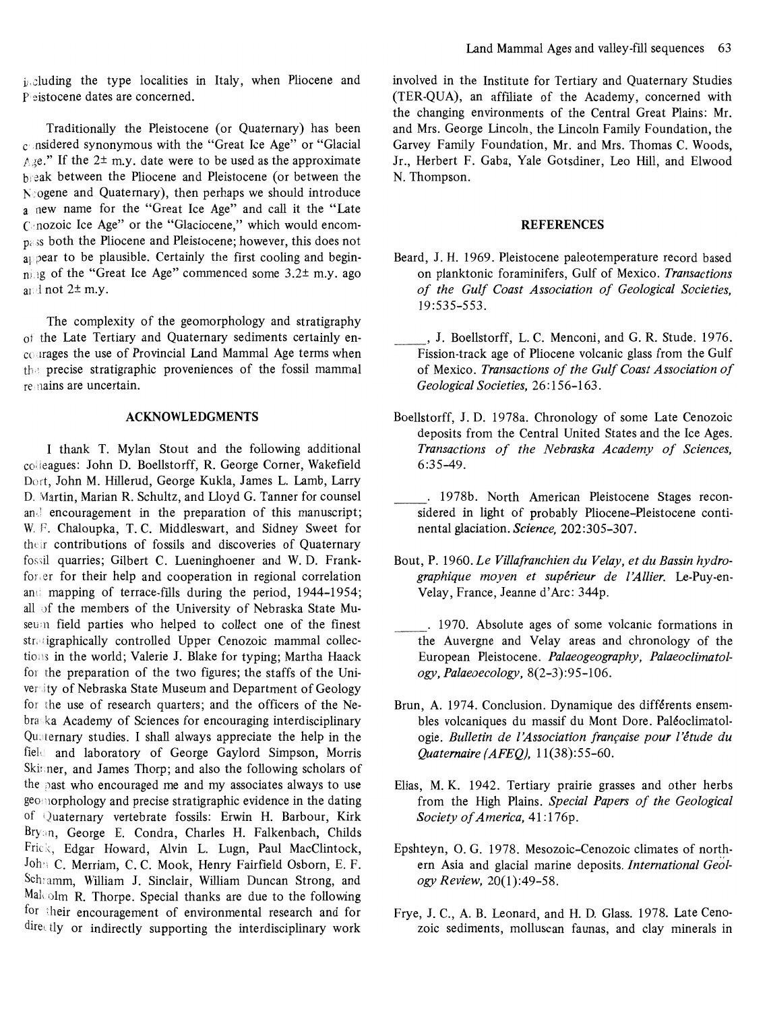including the type localities in Italy, when Pliocene and Pleistocene dates are concerned.

Traditionally the Pleistocene (or Ouaternary) has been  $c$ nsidered synonymous with the "Great Ice Age" or "Glacial  $\land$  ge." If the 2<sup> $\pm$ </sup> m.y. date were to be used as the approximate heak between the Pliocene and Pleistocene (or between the  $N_e$  ogene and Ouaternary), then perhaps we should introduce a new name for the "Great Ice Age" and call it the "Late  $C<sub>c</sub>$  nozoic Ice Age" or the "Glaciocene," which would encom $n_{\text{e}}$ :S both the Pliocene and Pleistocene; however, this does not  $a$ <sub>19</sub> pear to be plausible. Certainly the first cooling and begin $n$  is a of the "Great Ice Age" commenced some  $3.2 \pm m$ .y. ago and not 2<sup>±</sup> m.y.

The complexity of the geomorphology and stratigraphy of the Late Tertiary and Quaternary sediments certainly encourages the use of Provincial Land Mammal Age terms when the precise stratigraphic proveniences of the fossil mammal remains are uncertain.

#### **ACKNOWLEDGMENTS**

I thank T. Mylan Stout and the following additional colleagues: John D. Boellstorff, R. George Corner, Wakefield Dort, John M. Hillerud, George Kukla, James L. Lamb, Larry D. Martin, Marian R. Schultz, and Lloyd G. Tanner for counsel and encouragement in the preparation of this manuscript; W. F. Chaloupka, T. C. Middleswart, and Sidney Sweet for their contributions of fossils and discoveries of Quaternary fossil quarries; Gilbert C. Lueninghoener and W.D. Frankforter for their help and cooperation in regional correlation and mapping of terrace-fills during the period, 1944-1954; all of the members of the University of Nebraska State Museum field parties who helped to collect one of the finest stratigraphically controlled Upper Cenozoic mammal collections in the world; Valerie J. Blake for typing; Martha Haack for the preparation of the two figures; the staffs of the University of Nebraska State Museum and Department of Geology for the use of research quarters; and the officers of the Nebraska Academy of Sciences for encouraging interdisciplinary Quaternary studies. I shall always appreciate the help in the field and laboratory of George Gaylord Simpson, Morris Skinner, and James Thorp; and also the following scholars of the past who encouraged me and my associates always to use geomorphology and precise stratigraphic evidence in the dating of Quaternary vertebrate fossils: Erwin H. Barbour, Kirk Bryan, George E. Condra, Charles H. Falkenbach, Childs Frick, Edgar Howard, Alvin L. Lugn, Paul MacClintock, Joh:: C. Merriam, C. C. Mook, Henry Fairfield Osborn, E. F. Schramm, William J. Sinclair, William Duncan Strong, and  $Mal$ olm R. Thorpe. Special thanks are due to the following for their encouragement of environmental research and for  $\text{dire}_{\text{ct}}$  or indirectly supporting the interdisciplinary work

involved in the Institute for Tertiary and Quaternary Studies (TER-QUA), an affiliate of the Academy, concerned with the changing environments of the Central Great Plains: Mr. and Mrs. George Lincoln, the Lincoln Family Foundation, the Garvey Family Foundation, Mr. and Mrs. Thomas C. Woods, Jr., Herbert F. Gaba, Yale Gotsdiner, Leo Hill, and Elwood N. Thompson.

#### **REFERENCES**

- Beard, J. H. 1969. Pleistocene paleotemperature record based on planktonic foraminifers, Gulf of Mexico. Transactions of the Gulf Coast Association of Geological Societies, 19:535-553.
- , J. Boellstorff, L.C. Menconi, and G.R. Stude. 1976. Fission-track age of Pliocene volcanic glass from the Gulf of Mexico. Transactions of the Gulf Coast Association of Geological Societies, 26:156-163.
- Boellstorff, J.D. 1978a. Chronology of some Late Cenozoic deposits from the Central United States and the Ice Ages. Transactions of the Nebraska Academy of Sciences, 6:35-49.
- . 1978b. North American Pleistocene Stages reconsidered in light of probably Pliocene-Pleistocene continental glaciation. Science, 202:305-307.
- Bout, P. 1960. Le Villafranchien du Velay, et du Bassin hydrographique moyen et supérieur de l'Allier. Le-Puy-en-Velay, France, Jeanne d'Arc: 344p.
- the Australian Australian and Velania and 1970. Absolute ages of some volcanic formations in the Auvergne and Velay areas and chronology of the European Pleistocene. Palaeogeography, Palaeoclimatology, Palaeoecology, 8(2-3):95-106.
- Brun, A. 1974. Conclusion. Dynamique des différents ensembles volcaniques du massif du Mont Dore. Paléoclimatologie. Bulletin de l'Association française pour l'étude du Quaternaire (AFEQ), 11(38):55-60.
- Elias, M. K. 1942. Tertiary prairie grasses and other herbs from the High Plains. Special Papers of the Geological Society of America, 41:176p.
- Epshteyn, O. G. 1978. Mesozoic-Cenozoic climates of northern Asia and glacial marine deposits. *International Geol*ogy Review, 20(1):49-58.
- Frye, J. C., A. B. Leonard, and H. D. Glass. 1978. Late Cenozoic sediments, molluscan faunas, and clay minerals in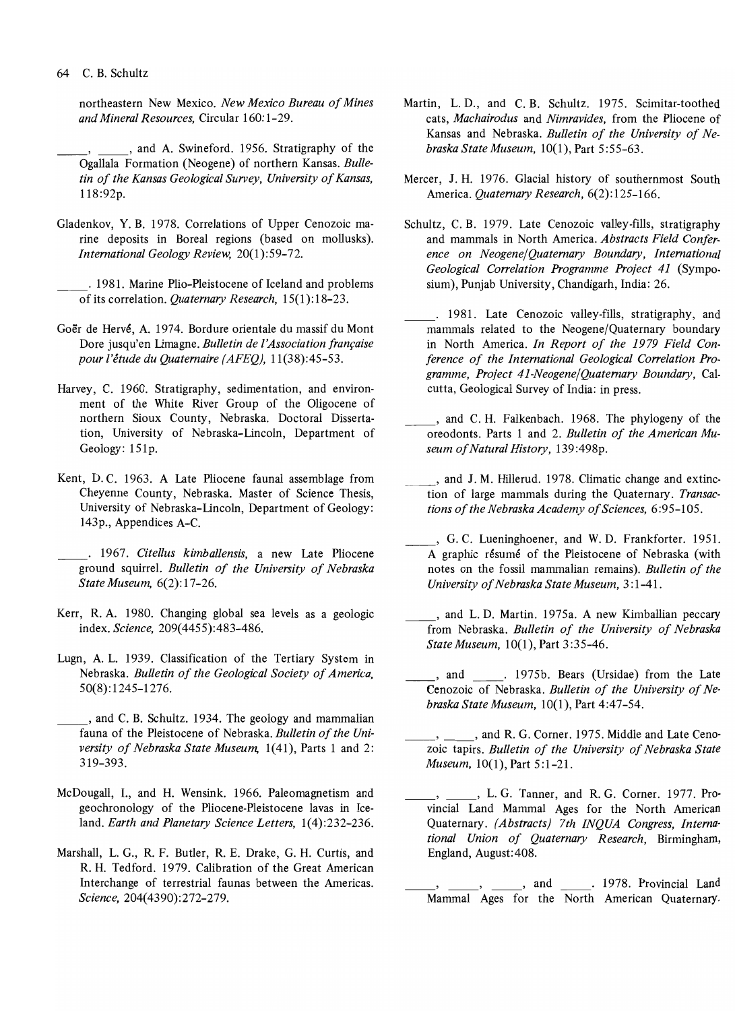#### 64 C. B. Schultz

northeastern New Mexico. *New Mexico Bureau of Mines and Mineral Resources,* Circular 160: 1-29.

, \_\_\_\_\_, and A. Swineford. 1956. Stratigraphy of the Ogallala Formation (Neogene) of northern Kansas. *Bulletin of the Kansas Geological Survey, University of Kansas,*  118:92p.

Gladenkov, Y. B. 1978. Correlations of Upper Cenozoic marine deposits in Boreal regions (based on mollusks). *International Geology Review,* 20(1):59-72.

\_\_ . 1981. Marine Plio-Pleistocene of Iceland and problems ofits correlation. *Quaternary Research,* 15(1):18-23.

- Goer de Herv6, A. 1974. Bordure orientale du massif du Mont Dore jusqu'en Limagne. *Bulletin de* I *'Association franfaise pour ['etude du Quaternaire (AFEQ),* 11(38):45-53.
- Harvey, C. 1960. Stratigraphy, sedimentation, and environment of the White River Group of the Oligocene of northern Sioux County, Nebraska. Doctoral Dissertation, University of Nebraska-Lincoln, Department of Geology: 151p.
- Kent, D. C. 1963. A Late Pliocene faunal assemblage from Cheyenne County, Nebraska. Master of Science Thesis, University of Nebraska-Lincoln, Department of Geology: 143p., Appendices A-C.

. 1967. *Citellus kimballensis,* a new Late Pliocene ground squirrel. *Bulletin of the University of Nebraska State Museum,* 6(2): 17-26.

- Kerr, R. A. 1980. Changing global sea levels as a geologic index. *Science,* 209(4455):483-486.
- Lugn, A. L. 1939. Classification of the Tertiary System in Nebraska. *Bulletin of the Geological Society of America,*  50(8): 1245-1276.

, and C. B. Schultz. 1934. The geology and mammalian fauna of the Pleistocene of Nebraska. *Bulletin of the University of Nebraska State Museum,* 1(41), Parts 1 and 2: 319-393.

- McDougall, I., and H. Wensink. 1966. Paleomagnetism and geochronology of the Pliocene-Pleistocene lavas in Iceland. *Earth and Planetary Science Letters,* 1(4):232-236.
- Marshall, L. G., R. F. Butler, R. E. Drake, G. H. Curtis, and R. H. Tedford. 1979. Calibration of the Great American Interchange of terrestrial faunas between the Americas. *Science,* 204(4390):272-279.
- Martin, L. D., and C. B. Schultz. 1975. Scimitar-toothed cats, *Machairodus* and *Nimravides,* from the Pliocene of Kansas and Nebraska. *Bulletin of the University of Nebraska State Museum,* 10(1), Part 5 :55-63.
- Mercer, J. H. 1976. Glacial history of southernmost South America. *Quaternary Research,* 6(2):125-166.
- Schultz, C. B. 1979. Late Cenozoic valley-fills, stratigraphy and mammals in North America. *Abstracts Field Conference on Neogene/Quaternary Boundary, International Geological Correlation Programme Project* 41 (Symposium), Punjab University, Chandigarh, India: 26.
	- . 1981. Late Cenozoic valley-fills, stratigraphy, and mammals related to the Neogene/Quaternary boundary in North America. *In Report of the* 1979 *Field Conference of the International Geological Correlation Programme, Project 41-Neogene/Quaternary Boundary,* Calcutta, Geological Survey of India: in press.
	- , and C. H. Falkenbach. 1968. The phylogeny of the oreodonts. Parts 1 and 2. *Bulletin of the American Museum of Natural History,* 139 :498p.
	- ..., and J. M. Hillerud. 1978. Climatic change and extinction of large mammals during the Quaternary. *Transactions of the Nebraska Academy of Sciences,* 6:95-105.
- , G. C. Lueninghoener, and W. D. Frankforter. 1951. A graphic résumé of the Pleistocene of Nebraska (with notes on the fossil mammalian remains). *Bulletin of the University of Nebraska State Museum,* 3 :1-41.
- \_, and L. D. Martin. 1975a. A new Kimballian peccary from Nebraska. *Bulletin of the University of Nebraska State Museum,* 10(1), Part 3:35-46.
- ., and \_\_\_\_\_. 1975b. Bears (Ursidae) from the Late Cenozoic of Nebraska. *Bulletin of the University of Nebraska State Museum,* 10(1), Part 4:47-54.
- , \_\_\_\_\_, and R. G. Corner. 1975. Middle and Late Cenozoic tapirs. *Bulletin of the University of Nebraska State Museum,* 10(1), Part 5:1-21.
- , L. G. Tanner, and R. G. Corner. 1977. Provincial Land Mammal Ages for the North American Quaternary. *(Abstracts) 7th INQUA Congress, International Union of Quaternary Research,* Birmingham, England, August: 408.

\_, and \_\_\_\_\_. 1978. Provincial Land Mammal Ages for the North American Quaternary.